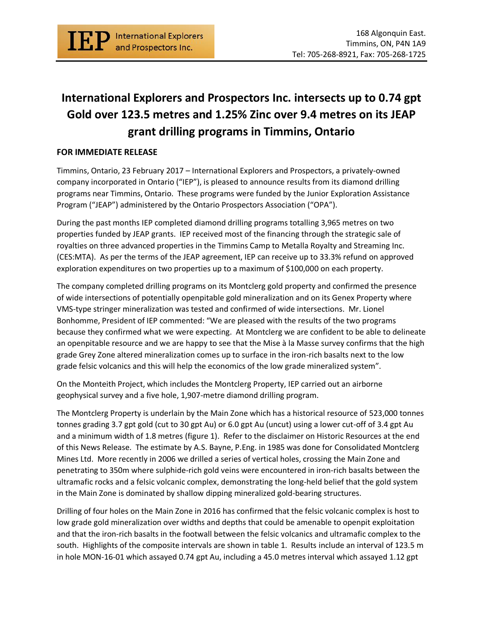

## **International Explorers and Prospectors Inc. intersects up to 0.74 gpt Gold over 123.5 metres and 1.25% Zinc over 9.4 metres on its JEAP grant drilling programs in Timmins, Ontario**

## **FOR IMMEDIATE RELEASE**

Timmins, Ontario, 23 February 2017 – International Explorers and Prospectors, a privately-owned company incorporated in Ontario ("IEP"), is pleased to announce results from its diamond drilling programs near Timmins, Ontario. These programs were funded by the Junior Exploration Assistance Program ("JEAP") administered by the Ontario Prospectors Association ("OPA").

During the past months IEP completed diamond drilling programs totalling 3,965 metres on two properties funded by JEAP grants. IEP received most of the financing through the strategic sale of royalties on three advanced properties in the Timmins Camp to Metalla Royalty and Streaming Inc. (CES:MTA). As per the terms of the JEAP agreement, IEP can receive up to 33.3% refund on approved exploration expenditures on two properties up to a maximum of \$100,000 on each property.

The company completed drilling programs on its Montclerg gold property and confirmed the presence of wide intersections of potentially openpitable gold mineralization and on its Genex Property where VMS-type stringer mineralization was tested and confirmed of wide intersections. Mr. Lionel Bonhomme, President of IEP commented: "We are pleased with the results of the two programs because they confirmed what we were expecting. At Montclerg we are confident to be able to delineate an openpitable resource and we are happy to see that the Mise à la Masse survey confirms that the high grade Grey Zone altered mineralization comes up to surface in the iron-rich basalts next to the low grade felsic volcanics and this will help the economics of the low grade mineralized system".

On the Monteith Project, which includes the Montclerg Property, IEP carried out an airborne geophysical survey and a five hole, 1,907-metre diamond drilling program.

The Montclerg Property is underlain by the Main Zone which has a historical resource of 523,000 tonnes tonnes grading 3.7 gpt gold (cut to 30 gpt Au) or 6.0 gpt Au (uncut) using a lower cut-off of 3.4 gpt Au and a minimum width of 1.8 metres (figure 1). Refer to the disclaimer on Historic Resources at the end of this News Release. The estimate by A.S. Bayne, P.Eng. in 1985 was done for Consolidated Montclerg Mines Ltd. More recently in 2006 we drilled a series of vertical holes, crossing the Main Zone and penetrating to 350m where sulphide-rich gold veins were encountered in iron-rich basalts between the ultramafic rocks and a felsic volcanic complex, demonstrating the long-held belief that the gold system in the Main Zone is dominated by shallow dipping mineralized gold-bearing structures.

Drilling of four holes on the Main Zone in 2016 has confirmed that the felsic volcanic complex is host to low grade gold mineralization over widths and depths that could be amenable to openpit exploitation and that the iron-rich basalts in the footwall between the felsic volcanics and ultramafic complex to the south. Highlights of the composite intervals are shown in table 1. Results include an interval of 123.5 m in hole MON-16-01 which assayed 0.74 gpt Au, including a 45.0 metres interval which assayed 1.12 gpt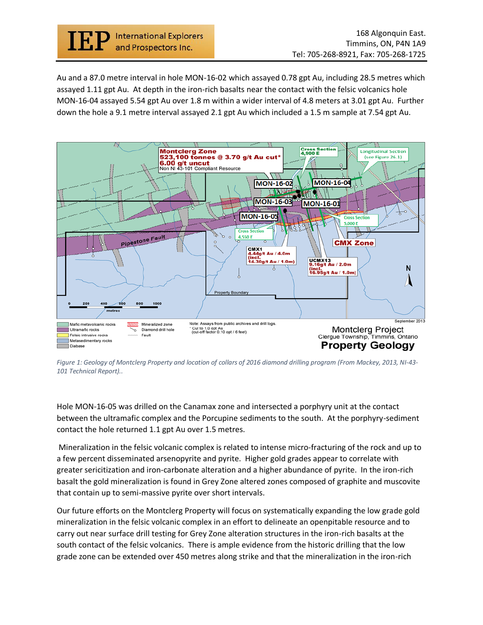

Au and a 87.0 metre interval in hole MON-16-02 which assayed 0.78 gpt Au, including 28.5 metres which assayed 1.11 gpt Au. At depth in the iron-rich basalts near the contact with the felsic volcanics hole MON-16-04 assayed 5.54 gpt Au over 1.8 m within a wider interval of 4.8 meters at 3.01 gpt Au. Further down the hole a 9.1 metre interval assayed 2.1 gpt Au which included a 1.5 m sample at 7.54 gpt Au.



*Figure 1: Geology of Montclerg Property and location of collars of 2016 diamond drilling program (From Mackey, 2013, NI-43- 101 Technical Report)..*

Hole MON-16-05 was drilled on the Canamax zone and intersected a porphyry unit at the contact between the ultramafic complex and the Porcupine sediments to the south. At the porphyry-sediment contact the hole returned 1.1 gpt Au over 1.5 metres.

Mineralization in the felsic volcanic complex is related to intense micro-fracturing of the rock and up to a few percent disseminated arsenopyrite and pyrite. Higher gold grades appear to correlate with greater sericitization and iron-carbonate alteration and a higher abundance of pyrite. In the iron-rich basalt the gold mineralization is found in Grey Zone altered zones composed of graphite and muscovite that contain up to semi-massive pyrite over short intervals.

Our future efforts on the Montclerg Property will focus on systematically expanding the low grade gold mineralization in the felsic volcanic complex in an effort to delineate an openpitable resource and to carry out near surface drill testing for Grey Zone alteration structures in the iron-rich basalts at the south contact of the felsic volcanics. There is ample evidence from the historic drilling that the low grade zone can be extended over 450 metres along strike and that the mineralization in the iron-rich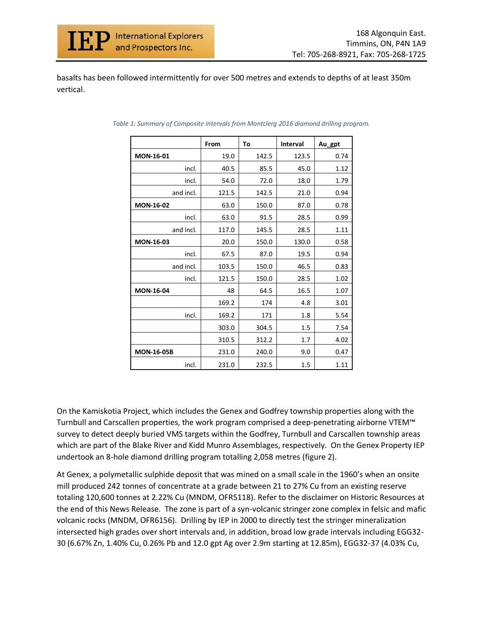

basalts has been followed intermittently for over 500 metres and extends to depths of at least 350m vertical.

|                   | From  | To    | <b>Interval</b> | Au_gpt |
|-------------------|-------|-------|-----------------|--------|
| <b>MON-16-01</b>  | 19.0  | 142.5 | 123.5           | 0.74   |
| incl.             | 40.5  | 85.5  | 45.0            | 1.12   |
| incl.             | 54.0  | 72.0  | 18.0            | 1.79   |
| and incl.         | 121.5 | 142.5 | 21.0            | 0.94   |
| <b>MON-16-02</b>  | 63.0  | 150.0 | 87.0            | 0.78   |
| incl.             | 63.0  | 91.5  | 28.5            | 0.99   |
| and incl.         | 117.0 | 145.5 | 28.5            | 1.11   |
| <b>MON-16-03</b>  | 20.0  | 150.0 | 130.0           | 0.58   |
| incl.             | 67.5  | 87.0  | 19.5            | 0.94   |
| and incl.         | 103.5 | 150.0 | 46.5            | 0.83   |
| incl.             | 121.5 | 150.0 | 28.5            | 1.02   |
| <b>MON-16-04</b>  | 48    | 64.5  | 16.5            | 1.07   |
|                   | 169.2 | 174   | 4.8             | 3.01   |
| incl.             | 169.2 | 171   | 1.8             | 5.54   |
|                   | 303.0 | 304.5 | 1.5             | 7.54   |
|                   | 310.5 | 312.2 | 1.7             | 4.02   |
| <b>MON-16-05B</b> | 231.0 | 240.0 | 9.0             | 0.47   |
| incl.             | 231.0 | 232.5 | 1.5             | 1.11   |

*Table 1: Summary of Composite intervals from Montclerg 2016 diamond drilling program.*

On the Kamiskotia Project, which includes the Genex and Godfrey township properties along with the Turnbull and Carscallen properties, the work program comprised a deep-penetrating airborne VTEM™ survey to detect deeply buried VMS targets within the Godfrey, Turnbull and Carscallen township areas which are part of the Blake River and Kidd Munro Assemblages, respectively. On the Genex Property IEP undertook an 8-hole diamond drilling program totalling 2,058 metres (figure 2).

At Genex, a polymetallic sulphide deposit that was mined on a small scale in the 1960's when an onsite mill produced 242 tonnes of concentrate at a grade between 21 to 27% Cu from an existing reserve totaling 120,600 tonnes at 2.22% Cu (MNDM, OFR5118). Refer to the disclaimer on Historic Resources at the end of this News Release. The zone is part of a syn-volcanic stringer zone complex in felsic and mafic volcanic rocks (MNDM, OFR6156). Drilling by IEP in 2000 to directly test the stringer mineralization intersected high grades over short intervals and, in addition, broad low grade intervals including EGG32- 30 (6.67% Zn, 1.40% Cu, 0.26% Pb and 12.0 gpt Ag over 2.9m starting at 12.85m), EGG32-37 (4.03% Cu,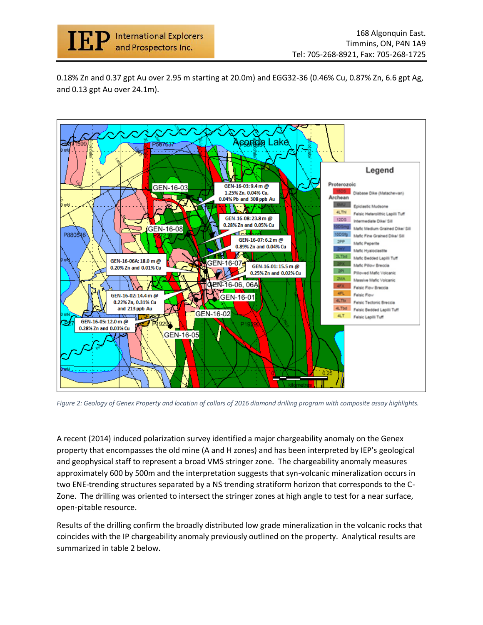

0.18% Zn and 0.37 gpt Au over 2.95 m starting at 20.0m) and EGG32-36 (0.46% Cu, 0.87% Zn, 6.6 gpt Ag, and 0.13 gpt Au over 24.1m).



*Figure 2: Geology of Genex Property and location of collars of 2016 diamond drilling program with composite assay highlights.* 

A recent (2014) induced polarization survey identified a major chargeability anomaly on the Genex property that encompasses the old mine (A and H zones) and has been interpreted by IEP's geological and geophysical staff to represent a broad VMS stringer zone. The chargeability anomaly measures approximately 600 by 500m and the interpretation suggests that syn-volcanic mineralization occurs in two ENE-trending structures separated by a NS trending stratiform horizon that corresponds to the C-Zone. The drilling was oriented to intersect the stringer zones at high angle to test for a near surface, open-pitable resource.

Results of the drilling confirm the broadly distributed low grade mineralization in the volcanic rocks that coincides with the IP chargeability anomaly previously outlined on the property. Analytical results are summarized in table 2 below.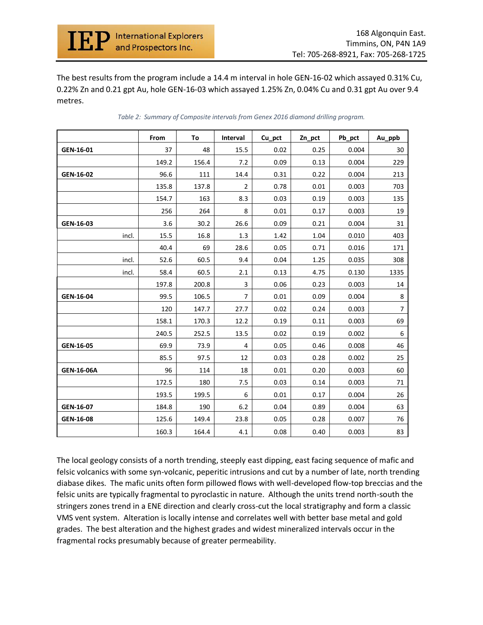

The best results from the program include a 14.4 m interval in hole GEN-16-02 which assayed 0.31% Cu, 0.22% Zn and 0.21 gpt Au, hole GEN-16-03 which assayed 1.25% Zn, 0.04% Cu and 0.31 gpt Au over 9.4 metres.

|            | From  | To    | Interval       | Cu_pct | Zn_pct | Pb_pct | Au_ppb         |
|------------|-------|-------|----------------|--------|--------|--------|----------------|
| GEN-16-01  | 37    | 48    | 15.5           | 0.02   | 0.25   | 0.004  | 30             |
|            | 149.2 | 156.4 | 7.2            | 0.09   | 0.13   | 0.004  | 229            |
| GEN-16-02  | 96.6  | 111   | 14.4           | 0.31   | 0.22   | 0.004  | 213            |
|            | 135.8 | 137.8 | $\overline{2}$ | 0.78   | 0.01   | 0.003  | 703            |
|            | 154.7 | 163   | 8.3            | 0.03   | 0.19   | 0.003  | 135            |
|            | 256   | 264   | 8              | 0.01   | 0.17   | 0.003  | 19             |
| GEN-16-03  | 3.6   | 30.2  | 26.6           | 0.09   | 0.21   | 0.004  | 31             |
| incl.      | 15.5  | 16.8  | 1.3            | 1.42   | 1.04   | 0.010  | 403            |
|            | 40.4  | 69    | 28.6           | 0.05   | 0.71   | 0.016  | 171            |
| incl.      | 52.6  | 60.5  | 9.4            | 0.04   | 1.25   | 0.035  | 308            |
| incl.      | 58.4  | 60.5  | 2.1            | 0.13   | 4.75   | 0.130  | 1335           |
|            | 197.8 | 200.8 | $\overline{3}$ | 0.06   | 0.23   | 0.003  | 14             |
| GEN-16-04  | 99.5  | 106.5 | $\overline{7}$ | 0.01   | 0.09   | 0.004  | 8              |
|            | 120   | 147.7 | 27.7           | 0.02   | 0.24   | 0.003  | $\overline{7}$ |
|            | 158.1 | 170.3 | 12.2           | 0.19   | 0.11   | 0.003  | 69             |
|            | 240.5 | 252.5 | 13.5           | 0.02   | 0.19   | 0.002  | 6              |
| GEN-16-05  | 69.9  | 73.9  | $\overline{4}$ | 0.05   | 0.46   | 0.008  | 46             |
|            | 85.5  | 97.5  | 12             | 0.03   | 0.28   | 0.002  | 25             |
| GEN-16-06A | 96    | 114   | 18             | 0.01   | 0.20   | 0.003  | 60             |
|            | 172.5 | 180   | 7.5            | 0.03   | 0.14   | 0.003  | 71             |
|            | 193.5 | 199.5 | 6              | 0.01   | 0.17   | 0.004  | 26             |
| GEN-16-07  | 184.8 | 190   | 6.2            | 0.04   | 0.89   | 0.004  | 63             |
| GEN-16-08  | 125.6 | 149.4 | 23.8           | 0.05   | 0.28   | 0.007  | 76             |
|            | 160.3 | 164.4 | 4.1            | 0.08   | 0.40   | 0.003  | 83             |

*Table 2: Summary of Composite intervals from Genex 2016 diamond drilling program.*

The local geology consists of a north trending, steeply east dipping, east facing sequence of mafic and felsic volcanics with some syn-volcanic, peperitic intrusions and cut by a number of late, north trending diabase dikes. The mafic units often form pillowed flows with well-developed flow-top breccias and the felsic units are typically fragmental to pyroclastic in nature. Although the units trend north-south the stringers zones trend in a ENE direction and clearly cross-cut the local stratigraphy and form a classic VMS vent system. Alteration is locally intense and correlates well with better base metal and gold grades. The best alteration and the highest grades and widest mineralized intervals occur in the fragmental rocks presumably because of greater permeability.